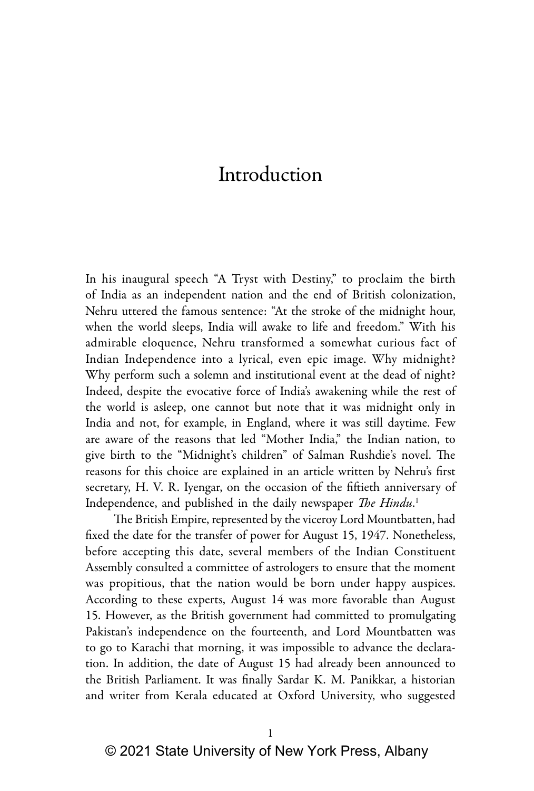# Introduction

In his inaugural speech "A Tryst with Destiny," to proclaim the birth of India as an independent nation and the end of British colonization, Nehru uttered the famous sentence: "At the stroke of the midnight hour, when the world sleeps, India will awake to life and freedom." With his admirable eloquence, Nehru transformed a somewhat curious fact of Indian Independence into a lyrical, even epic image. Why midnight? Why perform such a solemn and institutional event at the dead of night? Indeed, despite the evocative force of India's awakening while the rest of the world is asleep, one cannot but note that it was midnight only in India and not, for example, in England, where it was still daytime. Few are aware of the reasons that led "Mother India," the Indian nation, to give birth to the "Midnight's children" of Salman Rushdie's novel. The reasons for this choice are explained in an article written by Nehru's first secretary, H. V. R. Iyengar, on the occasion of the fiftieth anniversary of Independence, and published in the daily newspaper *The Hindu*. 1

The British Empire, represented by the viceroy Lord Mountbatten, had fixed the date for the transfer of power for August 15, 1947. Nonetheless, before accepting this date, several members of the Indian Constituent Assembly consulted a committee of astrologers to ensure that the moment was propitious, that the nation would be born under happy auspices. According to these experts, August 14 was more favorable than August 15. However, as the British government had committed to promulgating Pakistan's independence on the fourteenth, and Lord Mountbatten was to go to Karachi that morning, it was impossible to advance the declaration. In addition, the date of August 15 had already been announced to the British Parliament. It was finally Sardar K. M. Panikkar, a historian and writer from Kerala educated at Oxford University, who suggested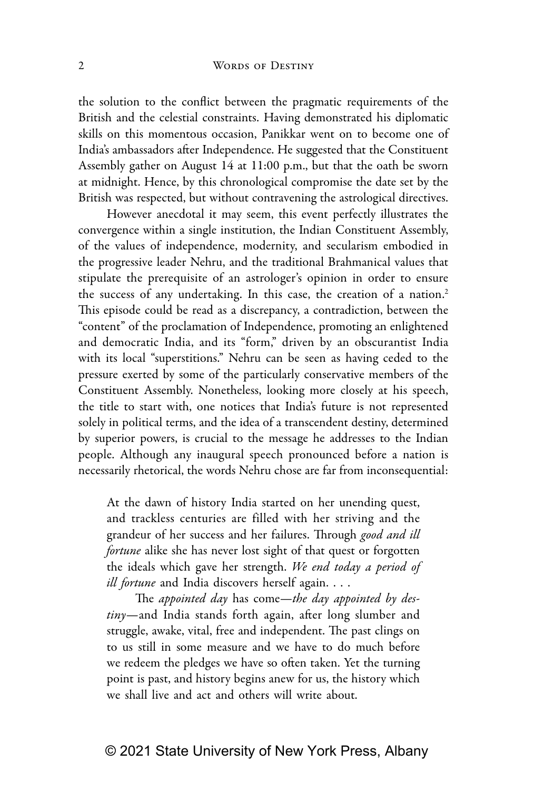#### 2 WORDS OF DESTINY

the solution to the conflict between the pragmatic requirements of the British and the celestial constraints. Having demonstrated his diplomatic skills on this momentous occasion, Panikkar went on to become one of India's ambassadors after Independence. He suggested that the Constituent Assembly gather on August 14 at 11:00 p.m., but that the oath be sworn at midnight. Hence, by this chronological compromise the date set by the British was respected, but without contravening the astrological directives.

However anecdotal it may seem, this event perfectly illustrates the convergence within a single institution, the Indian Constituent Assembly, of the values of independence, modernity, and secularism embodied in the progressive leader Nehru, and the traditional Brahmanical values that stipulate the prerequisite of an astrologer's opinion in order to ensure the success of any undertaking. In this case, the creation of a nation.<sup>2</sup> This episode could be read as a discrepancy, a contradiction, between the "content" of the proclamation of Independence, promoting an enlightened and democratic India, and its "form," driven by an obscurantist India with its local "superstitions." Nehru can be seen as having ceded to the pressure exerted by some of the particularly conservative members of the Constituent Assembly. Nonetheless, looking more closely at his speech, the title to start with, one notices that India's future is not represented solely in political terms, and the idea of a transcendent destiny, determined by superior powers, is crucial to the message he addresses to the Indian people. Although any inaugural speech pronounced before a nation is necessarily rhetorical, the words Nehru chose are far from inconsequential:

At the dawn of history India started on her unending quest, and trackless centuries are filled with her striving and the grandeur of her success and her failures. Through *good and ill fortune* alike she has never lost sight of that quest or forgotten the ideals which gave her strength. *We end today a period of ill fortune* and India discovers herself again. . . .

The *appointed day* has come—*the day appointed by destiny*—and India stands forth again, after long slumber and struggle, awake, vital, free and independent. The past clings on to us still in some measure and we have to do much before we redeem the pledges we have so often taken. Yet the turning point is past, and history begins anew for us, the history which we shall live and act and others will write about.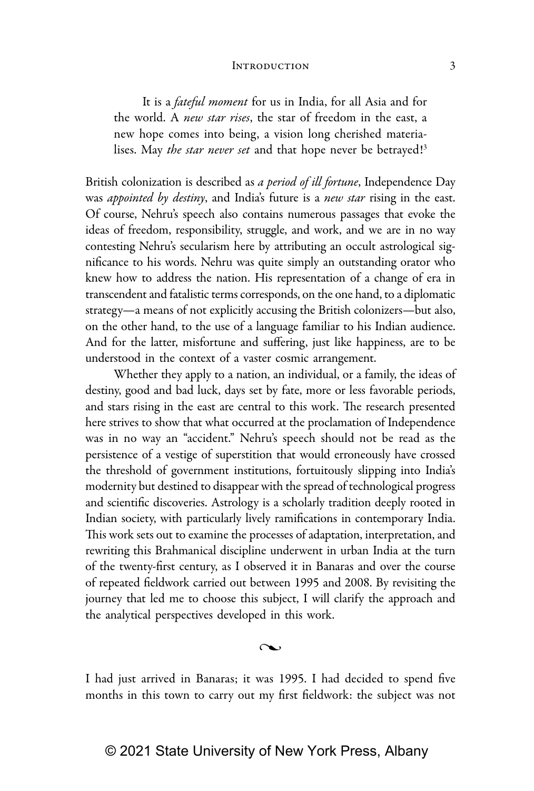It is a *fateful moment* for us in India, for all Asia and for the world. A *new star rises*, the star of freedom in the east, a new hope comes into being, a vision long cherished materialises. May *the star never set* and that hope never be betrayed!<sup>3</sup>

British colonization is described as *a period of ill fortune*, Independence Day was *appointed by destiny*, and India's future is a *new star* rising in the east. Of course, Nehru's speech also contains numerous passages that evoke the ideas of freedom, responsibility, struggle, and work, and we are in no way contesting Nehru's secularism here by attributing an occult astrological significance to his words. Nehru was quite simply an outstanding orator who knew how to address the nation. His representation of a change of era in transcendent and fatalistic terms corresponds, on the one hand, to a diplomatic strategy—a means of not explicitly accusing the British colonizers—but also, on the other hand, to the use of a language familiar to his Indian audience. And for the latter, misfortune and suffering, just like happiness, are to be understood in the context of a vaster cosmic arrangement.

Whether they apply to a nation, an individual, or a family, the ideas of destiny, good and bad luck, days set by fate, more or less favorable periods, and stars rising in the east are central to this work. The research presented here strives to show that what occurred at the proclamation of Independence was in no way an "accident." Nehru's speech should not be read as the persistence of a vestige of superstition that would erroneously have crossed the threshold of government institutions, fortuitously slipping into India's modernity but destined to disappear with the spread of technological progress and scientific discoveries. Astrology is a scholarly tradition deeply rooted in Indian society, with particularly lively ramifications in contemporary India. This work sets out to examine the processes of adaptation, interpretation, and rewriting this Brahmanical discipline underwent in urban India at the turn of the twenty-first century, as I observed it in Banaras and over the course of repeated fieldwork carried out between 1995 and 2008. By revisiting the journey that led me to choose this subject, I will clarify the approach and the analytical perspectives developed in this work.

 $\sim$ 

I had just arrived in Banaras; it was 1995. I had decided to spend five months in this town to carry out my first fieldwork: the subject was not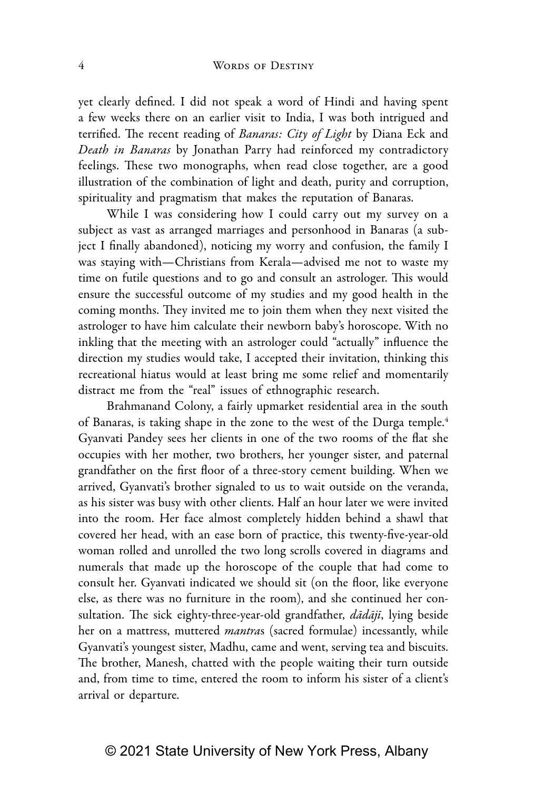yet clearly defined. I did not speak a word of Hindi and having spent a few weeks there on an earlier visit to India, I was both intrigued and terrified. The recent reading of *Banaras: City of Light* by Diana Eck and *Death in Banaras* by Jonathan Parry had reinforced my contradictory feelings. These two monographs, when read close together, are a good illustration of the combination of light and death, purity and corruption, spirituality and pragmatism that makes the reputation of Banaras.

While I was considering how I could carry out my survey on a subject as vast as arranged marriages and personhood in Banaras (a subject I finally abandoned), noticing my worry and confusion, the family I was staying with—Christians from Kerala—advised me not to waste my time on futile questions and to go and consult an astrologer. This would ensure the successful outcome of my studies and my good health in the coming months. They invited me to join them when they next visited the astrologer to have him calculate their newborn baby's horoscope. With no inkling that the meeting with an astrologer could "actually" influence the direction my studies would take, I accepted their invitation, thinking this recreational hiatus would at least bring me some relief and momentarily distract me from the "real" issues of ethnographic research.

Brahmanand Colony, a fairly upmarket residential area in the south of Banaras, is taking shape in the zone to the west of the Durga temple.<sup>4</sup> Gyanvati Pandey sees her clients in one of the two rooms of the flat she occupies with her mother, two brothers, her younger sister, and paternal grandfather on the first floor of a three-story cement building. When we arrived, Gyanvati's brother signaled to us to wait outside on the veranda, as his sister was busy with other clients. Half an hour later we were invited into the room. Her face almost completely hidden behind a shawl that covered her head, with an ease born of practice, this twenty-five-year-old woman rolled and unrolled the two long scrolls covered in diagrams and numerals that made up the horoscope of the couple that had come to consult her. Gyanvati indicated we should sit (on the floor, like everyone else, as there was no furniture in the room), and she continued her consultation. The sick eighty-three-year-old grandfather, *dādājī*, lying beside her on a mattress, muttered *mantra*s (sacred formulae) incessantly, while Gyanvati's youngest sister, Madhu, came and went, serving tea and biscuits. The brother, Manesh, chatted with the people waiting their turn outside and, from time to time, entered the room to inform his sister of a client's arrival or departure.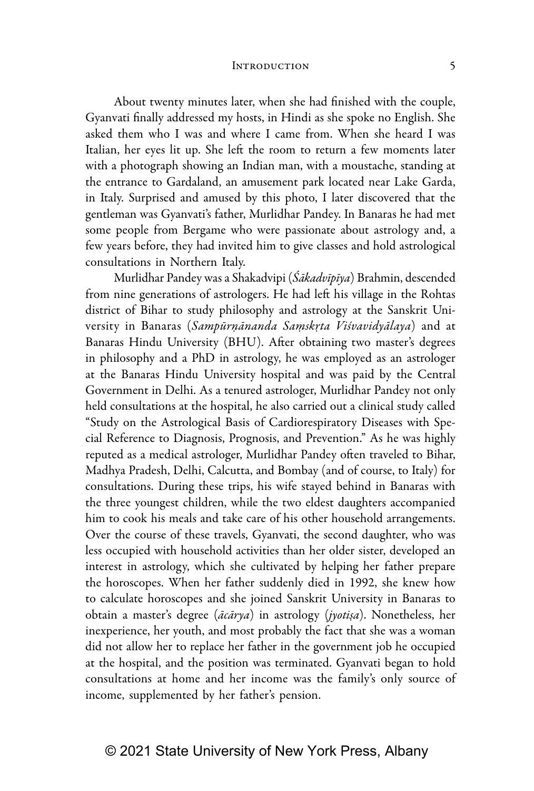About twenty minutes later, when she had finished with the couple, Gyanvati finally addressed my hosts, in Hindi as she spoke no English. She asked them who I was and where I came from. When she heard I was Italian, her eyes lit up. She left the room to return a few moments later with a photograph showing an Indian man, with a moustache, standing at the entrance to Gardaland, an amusement park located near Lake Garda, in Italy. Surprised and amused by this photo, I later discovered that the gentleman was Gyanvati's father, Murlidhar Pandey. In Banaras he had met some people from Bergame who were passionate about astrology and, a few years before, they had invited him to give classes and hold astrological consultations in Northern Italy.

Murlidhar Pandey was a Shakadvipi (*Śākadvīpīya*) Brahmin, descended from nine generations of astrologers. He had left his village in the Rohtas district of Bihar to study philosophy and astrology at the Sanskrit University in Banaras (*Sampūrṇānanda Saṃskṛta Viśvavidyālaya*) and at Banaras Hindu University (BHU). After obtaining two master's degrees in philosophy and a PhD in astrology, he was employed as an astrologer at the Banaras Hindu University hospital and was paid by the Central Government in Delhi. As a tenured astrologer, Murlidhar Pandey not only held consultations at the hospital, he also carried out a clinical study called "Study on the Astrological Basis of Cardiorespiratory Diseases with Special Reference to Diagnosis, Prognosis, and Prevention." As he was highly reputed as a medical astrologer, Murlidhar Pandey often traveled to Bihar, Madhya Pradesh, Delhi, Calcutta, and Bombay (and of course, to Italy) for consultations. During these trips, his wife stayed behind in Banaras with the three youngest children, while the two eldest daughters accompanied him to cook his meals and take care of his other household arrangements. Over the course of these travels, Gyanvati, the second daughter, who was less occupied with household activities than her older sister, developed an interest in astrology, which she cultivated by helping her father prepare the horoscopes. When her father suddenly died in 1992, she knew how to calculate horoscopes and she joined Sanskrit University in Banaras to obtain a master's degree (*ācārya*) in astrology (*jyotiṣa*). Nonetheless, her inexperience, her youth, and most probably the fact that she was a woman did not allow her to replace her father in the government job he occupied at the hospital, and the position was terminated. Gyanvati began to hold consultations at home and her income was the family's only source of income, supplemented by her father's pension.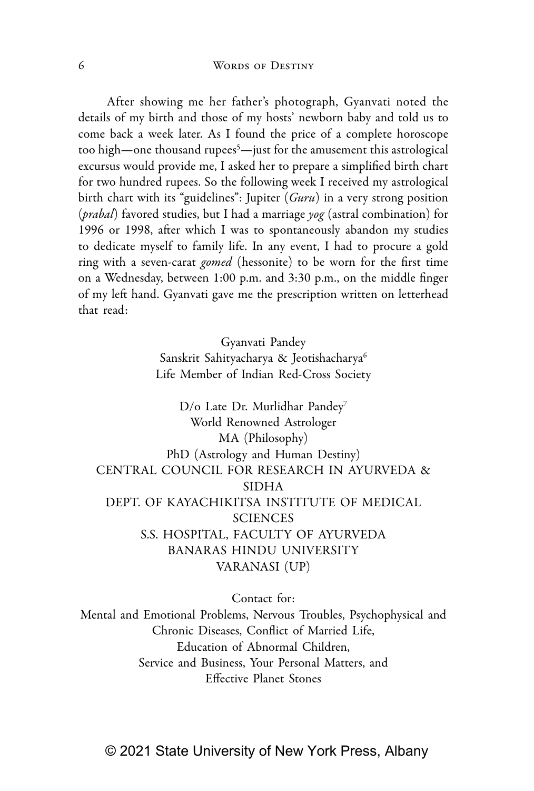After showing me her father's photograph, Gyanvati noted the details of my birth and those of my hosts' newborn baby and told us to come back a week later. As I found the price of a complete horoscope too high—one thousand rupees<sup>5</sup>—just for the amusement this astrological excursus would provide me, I asked her to prepare a simplified birth chart for two hundred rupees. So the following week I received my astrological birth chart with its "guidelines": Jupiter (*Guru*) in a very strong position (*prabal*) favored studies, but I had a marriage *yog* (astral combination) for 1996 or 1998, after which I was to spontaneously abandon my studies to dedicate myself to family life. In any event, I had to procure a gold ring with a seven-carat *gomed* (hessonite) to be worn for the first time on a Wednesday, between 1:00 p.m. and 3:30 p.m., on the middle finger of my left hand. Gyanvati gave me the prescription written on letterhead that read:

> Gyanvati Pandey Sanskrit Sahityacharya & Jeotishacharya6 Life Member of Indian Red-Cross Society

D/o Late Dr. Murlidhar Pandey<sup>7</sup> World Renowned Astrologer MA (Philosophy) PhD (Astrology and Human Destiny) CENTRAL COUNCIL FOR RESEARCH IN AYURVEDA & SIDHA DEPT. OF KAYACHIKITSA INSTITUTE OF MEDICAL **SCIENCES** S.S. HOSPITAL, FACULTY OF AYURVEDA BANARAS HINDU UNIVERSITY VARANASI (UP)

Contact for:

Mental and Emotional Problems, Nervous Troubles, Psychophysical and Chronic Diseases, Conflict of Married Life, Education of Abnormal Children, Service and Business, Your Personal Matters, and Effective Planet Stones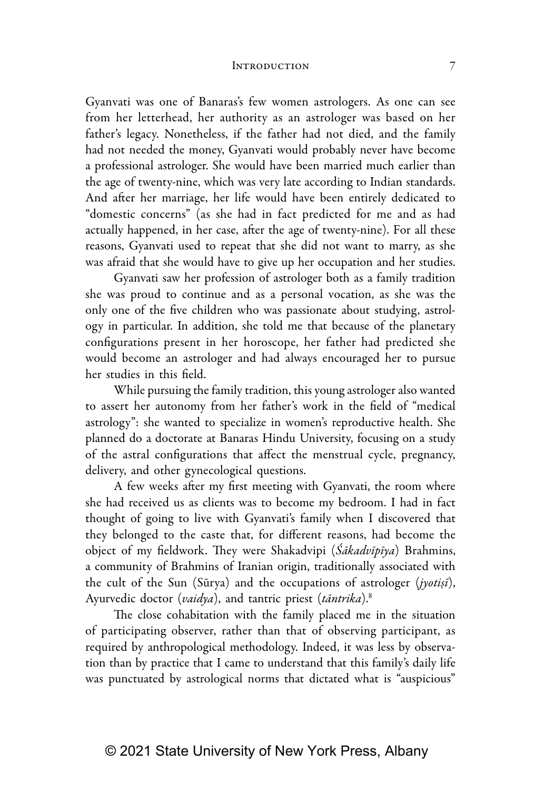Gyanvati was one of Banaras's few women astrologers. As one can see from her letterhead, her authority as an astrologer was based on her father's legacy. Nonetheless, if the father had not died, and the family had not needed the money, Gyanvati would probably never have become a professional astrologer. She would have been married much earlier than the age of twenty-nine, which was very late according to Indian standards. And after her marriage, her life would have been entirely dedicated to "domestic concerns" (as she had in fact predicted for me and as had actually happened, in her case, after the age of twenty-nine). For all these reasons, Gyanvati used to repeat that she did not want to marry, as she was afraid that she would have to give up her occupation and her studies.

Gyanvati saw her profession of astrologer both as a family tradition she was proud to continue and as a personal vocation, as she was the only one of the five children who was passionate about studying, astrology in particular. In addition, she told me that because of the planetary configurations present in her horoscope, her father had predicted she would become an astrologer and had always encouraged her to pursue her studies in this field.

While pursuing the family tradition, this young astrologer also wanted to assert her autonomy from her father's work in the field of "medical astrology": she wanted to specialize in women's reproductive health. She planned do a doctorate at Banaras Hindu University, focusing on a study of the astral configurations that affect the menstrual cycle, pregnancy, delivery, and other gynecological questions.

A few weeks after my first meeting with Gyanvati, the room where she had received us as clients was to become my bedroom. I had in fact thought of going to live with Gyanvati's family when I discovered that they belonged to the caste that, for different reasons, had become the object of my fieldwork. They were Shakadvipi (*Śākadvīpīya*) Brahmins, a community of Brahmins of Iranian origin, traditionally associated with the cult of the Sun (Sūrya) and the occupations of astrologer (*jyotiṣī*), Ayurvedic doctor (*vaidya*), and tantric priest (*tāntrika*).8

The close cohabitation with the family placed me in the situation of participating observer, rather than that of observing participant, as required by anthropological methodology. Indeed, it was less by observation than by practice that I came to understand that this family's daily life was punctuated by astrological norms that dictated what is "auspicious"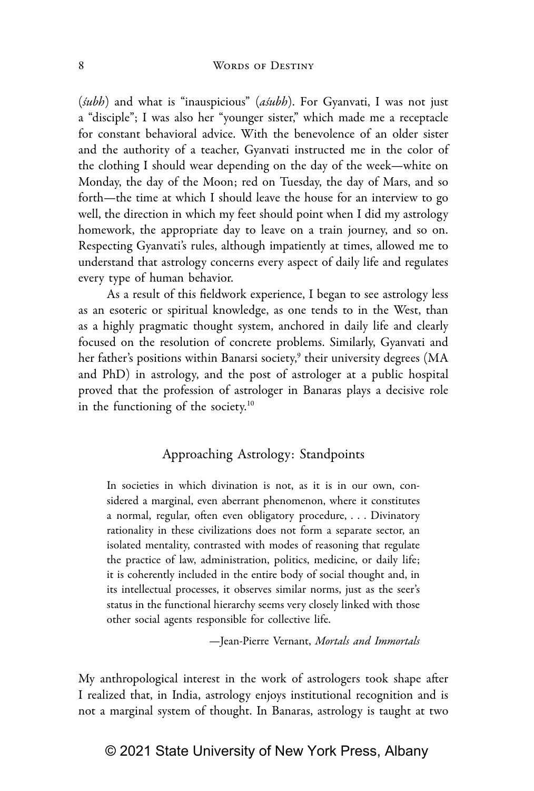(*śubh*) and what is "inauspicious" (*aśubh*). For Gyanvati, I was not just a "disciple"; I was also her "younger sister," which made me a receptacle for constant behavioral advice. With the benevolence of an older sister and the authority of a teacher, Gyanvati instructed me in the color of the clothing I should wear depending on the day of the week—white on Monday, the day of the Moon; red on Tuesday, the day of Mars, and so forth—the time at which I should leave the house for an interview to go well, the direction in which my feet should point when I did my astrology homework, the appropriate day to leave on a train journey, and so on. Respecting Gyanvati's rules, although impatiently at times, allowed me to understand that astrology concerns every aspect of daily life and regulates every type of human behavior.

As a result of this fieldwork experience, I began to see astrology less as an esoteric or spiritual knowledge, as one tends to in the West, than as a highly pragmatic thought system, anchored in daily life and clearly focused on the resolution of concrete problems. Similarly, Gyanvati and her father's positions within Banarsi society, $^{\circ}$  their university degrees (MA and PhD) in astrology, and the post of astrologer at a public hospital proved that the profession of astrologer in Banaras plays a decisive role in the functioning of the society.10

## Approaching Astrology: Standpoints

In societies in which divination is not, as it is in our own, considered a marginal, even aberrant phenomenon, where it constitutes a normal, regular, often even obligatory procedure, . . . Divinatory rationality in these civilizations does not form a separate sector, an isolated mentality, contrasted with modes of reasoning that regulate the practice of law, administration, politics, medicine, or daily life; it is coherently included in the entire body of social thought and, in its intellectual processes, it observes similar norms, just as the seer's status in the functional hierarchy seems very closely linked with those other social agents responsible for collective life.

—Jean-Pierre Vernant, *Mortals and Immortals*

My anthropological interest in the work of astrologers took shape after I realized that, in India, astrology enjoys institutional recognition and is not a marginal system of thought. In Banaras, astrology is taught at two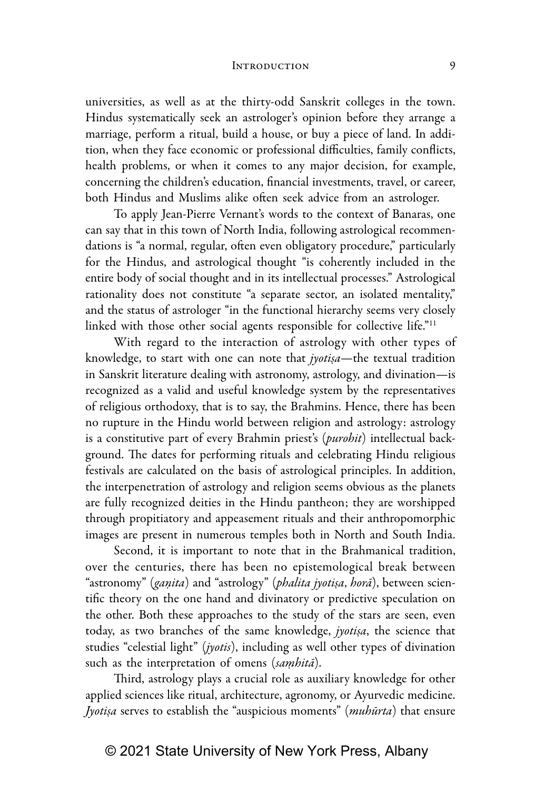universities, as well as at the thirty-odd Sanskrit colleges in the town. Hindus systematically seek an astrologer's opinion before they arrange a marriage, perform a ritual, build a house, or buy a piece of land. In addition, when they face economic or professional difficulties, family conflicts, health problems, or when it comes to any major decision, for example, concerning the children's education, financial investments, travel, or career, both Hindus and Muslims alike often seek advice from an astrologer.

To apply Jean-Pierre Vernant's words to the context of Banaras, one can say that in this town of North India, following astrological recommendations is "a normal, regular, often even obligatory procedure," particularly for the Hindus, and astrological thought "is coherently included in the entire body of social thought and in its intellectual processes." Astrological rationality does not constitute "a separate sector, an isolated mentality," and the status of astrologer "in the functional hierarchy seems very closely linked with those other social agents responsible for collective life."11

With regard to the interaction of astrology with other types of knowledge, to start with one can note that *jyotiṣa*—the textual tradition in Sanskrit literature dealing with astronomy, astrology, and divination—is recognized as a valid and useful knowledge system by the representatives of religious orthodoxy, that is to say, the Brahmins. Hence, there has been no rupture in the Hindu world between religion and astrology: astrology is a constitutive part of every Brahmin priest's (*purohit*) intellectual background. The dates for performing rituals and celebrating Hindu religious festivals are calculated on the basis of astrological principles. In addition, the interpenetration of astrology and religion seems obvious as the planets are fully recognized deities in the Hindu pantheon; they are worshipped through propitiatory and appeasement rituals and their anthropomorphic images are present in numerous temples both in North and South India.

Second, it is important to note that in the Brahmanical tradition, over the centuries, there has been no epistemological break between "astronomy" (*gaṇita*) and "astrology" (*phalita jyotiṣa*, *horā*), between scientific theory on the one hand and divinatory or predictive speculation on the other. Both these approaches to the study of the stars are seen, even today, as two branches of the same knowledge, *jyotiṣa*, the science that studies "celestial light" (*jyotis*), including as well other types of divination such as the interpretation of omens (*saṃhitā*).

Third, astrology plays a crucial role as auxiliary knowledge for other applied sciences like ritual, architecture, agronomy, or Ayurvedic medicine. *Jyotiṣa* serves to establish the "auspicious moments" (*muhūrta*) that ensure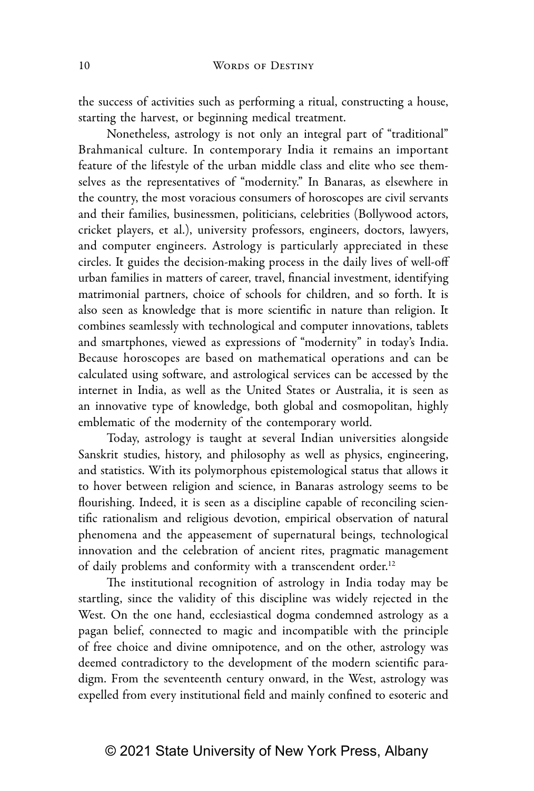the success of activities such as performing a ritual, constructing a house, starting the harvest, or beginning medical treatment.

Nonetheless, astrology is not only an integral part of "traditional" Brahmanical culture. In contemporary India it remains an important feature of the lifestyle of the urban middle class and elite who see themselves as the representatives of "modernity." In Banaras, as elsewhere in the country, the most voracious consumers of horoscopes are civil servants and their families, businessmen, politicians, celebrities (Bollywood actors, cricket players, et al.), university professors, engineers, doctors, lawyers, and computer engineers. Astrology is particularly appreciated in these circles. It guides the decision-making process in the daily lives of well-off urban families in matters of career, travel, financial investment, identifying matrimonial partners, choice of schools for children, and so forth. It is also seen as knowledge that is more scientific in nature than religion. It combines seamlessly with technological and computer innovations, tablets and smartphones, viewed as expressions of "modernity" in today's India. Because horoscopes are based on mathematical operations and can be calculated using software, and astrological services can be accessed by the internet in India, as well as the United States or Australia, it is seen as an innovative type of knowledge, both global and cosmopolitan, highly emblematic of the modernity of the contemporary world.

Today, astrology is taught at several Indian universities alongside Sanskrit studies, history, and philosophy as well as physics, engineering, and statistics. With its polymorphous epistemological status that allows it to hover between religion and science, in Banaras astrology seems to be flourishing. Indeed, it is seen as a discipline capable of reconciling scientific rationalism and religious devotion, empirical observation of natural phenomena and the appeasement of supernatural beings, technological innovation and the celebration of ancient rites, pragmatic management of daily problems and conformity with a transcendent order.<sup>12</sup>

The institutional recognition of astrology in India today may be startling, since the validity of this discipline was widely rejected in the West. On the one hand, ecclesiastical dogma condemned astrology as a pagan belief, connected to magic and incompatible with the principle of free choice and divine omnipotence, and on the other, astrology was deemed contradictory to the development of the modern scientific paradigm. From the seventeenth century onward, in the West, astrology was expelled from every institutional field and mainly confined to esoteric and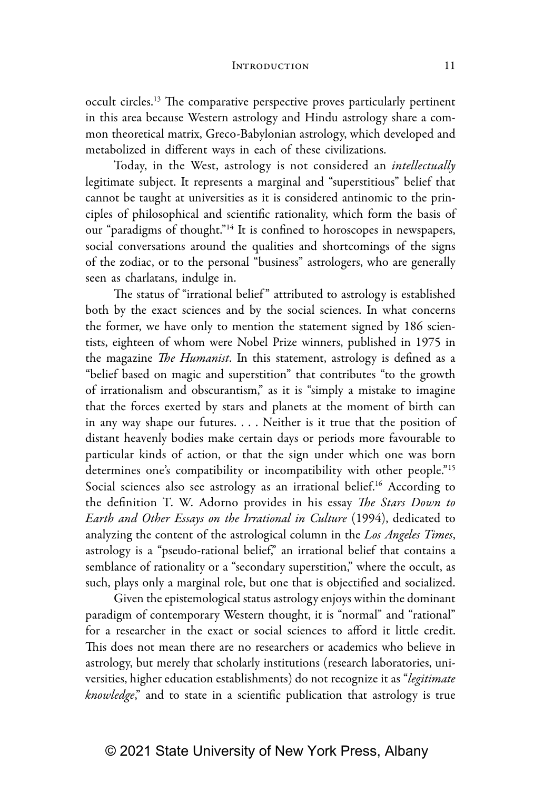occult circles.13 The comparative perspective proves particularly pertinent in this area because Western astrology and Hindu astrology share a common theoretical matrix, Greco-Babylonian astrology, which developed and metabolized in different ways in each of these civilizations.

Today, in the West, astrology is not considered an *intellectually*  legitimate subject. It represents a marginal and "superstitious" belief that cannot be taught at universities as it is considered antinomic to the principles of philosophical and scientific rationality, which form the basis of our "paradigms of thought."14 It is confined to horoscopes in newspapers, social conversations around the qualities and shortcomings of the signs of the zodiac, or to the personal "business" astrologers, who are generally seen as charlatans, indulge in.

The status of "irrational belief " attributed to astrology is established both by the exact sciences and by the social sciences. In what concerns the former, we have only to mention the statement signed by 186 scientists, eighteen of whom were Nobel Prize winners, published in 1975 in the magazine *The Humanist*. In this statement, astrology is defined as a "belief based on magic and superstition" that contributes "to the growth of irrationalism and obscurantism," as it is "simply a mistake to imagine that the forces exerted by stars and planets at the moment of birth can in any way shape our futures. . . . Neither is it true that the position of distant heavenly bodies make certain days or periods more favourable to particular kinds of action, or that the sign under which one was born determines one's compatibility or incompatibility with other people."15 Social sciences also see astrology as an irrational belief.<sup>16</sup> According to the definition T. W. Adorno provides in his essay *The Stars Down to Earth and Other Essays on the Irrational in Culture* (1994), dedicated to analyzing the content of the astrological column in the *Los Angeles Times*, astrology is a "pseudo-rational belief," an irrational belief that contains a semblance of rationality or a "secondary superstition," where the occult, as such, plays only a marginal role, but one that is objectified and socialized.

Given the epistemological status astrology enjoys within the dominant paradigm of contemporary Western thought, it is "normal" and "rational" for a researcher in the exact or social sciences to afford it little credit. This does not mean there are no researchers or academics who believe in astrology, but merely that scholarly institutions (research laboratories, universities, higher education establishments) do not recognize it as "*legitimate knowledge*," and to state in a scientific publication that astrology is true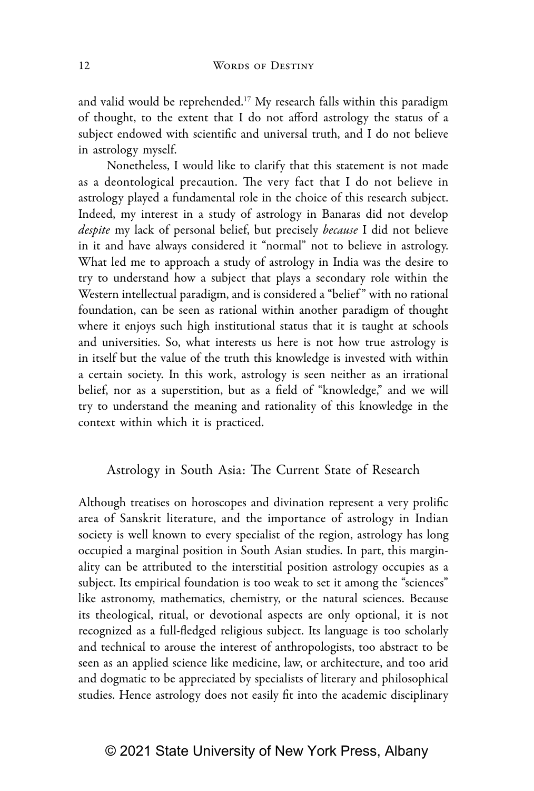and valid would be reprehended.<sup>17</sup> My research falls within this paradigm of thought, to the extent that I do not afford astrology the status of a subject endowed with scientific and universal truth, and I do not believe in astrology myself.

Nonetheless, I would like to clarify that this statement is not made as a deontological precaution. The very fact that I do not believe in astrology played a fundamental role in the choice of this research subject. Indeed, my interest in a study of astrology in Banaras did not develop *despite* my lack of personal belief, but precisely *because* I did not believe in it and have always considered it "normal" not to believe in astrology. What led me to approach a study of astrology in India was the desire to try to understand how a subject that plays a secondary role within the Western intellectual paradigm, and is considered a "belief" with no rational foundation, can be seen as rational within another paradigm of thought where it enjoys such high institutional status that it is taught at schools and universities. So, what interests us here is not how true astrology is in itself but the value of the truth this knowledge is invested with within a certain society. In this work, astrology is seen neither as an irrational belief, nor as a superstition, but as a field of "knowledge," and we will try to understand the meaning and rationality of this knowledge in the context within which it is practiced.

## Astrology in South Asia: The Current State of Research

Although treatises on horoscopes and divination represent a very prolific area of Sanskrit literature, and the importance of astrology in Indian society is well known to every specialist of the region, astrology has long occupied a marginal position in South Asian studies. In part, this marginality can be attributed to the interstitial position astrology occupies as a subject. Its empirical foundation is too weak to set it among the "sciences" like astronomy, mathematics, chemistry, or the natural sciences. Because its theological, ritual, or devotional aspects are only optional, it is not recognized as a full-fledged religious subject. Its language is too scholarly and technical to arouse the interest of anthropologists, too abstract to be seen as an applied science like medicine, law, or architecture, and too arid and dogmatic to be appreciated by specialists of literary and philosophical studies. Hence astrology does not easily fit into the academic disciplinary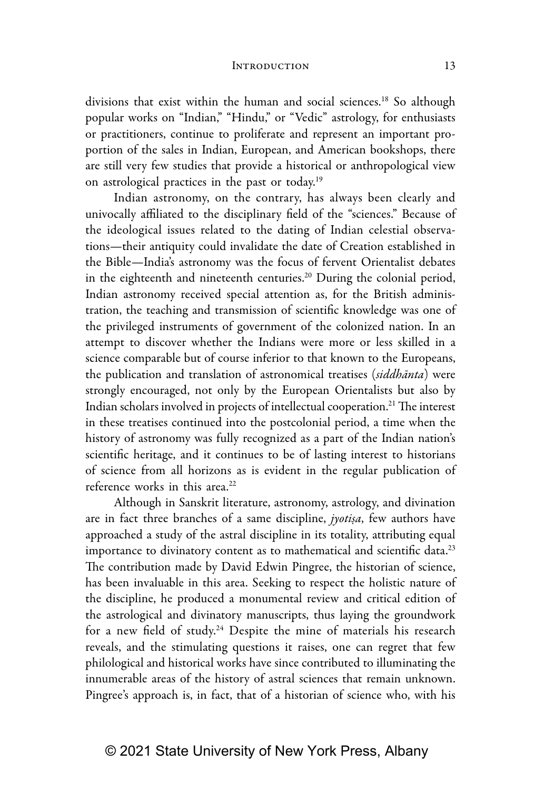divisions that exist within the human and social sciences.<sup>18</sup> So although popular works on "Indian," "Hindu," or "Vedic" astrology, for enthusiasts or practitioners, continue to proliferate and represent an important proportion of the sales in Indian, European, and American bookshops, there are still very few studies that provide a historical or anthropological view on astrological practices in the past or today.19

Indian astronomy, on the contrary, has always been clearly and univocally affiliated to the disciplinary field of the "sciences." Because of the ideological issues related to the dating of Indian celestial observations—their antiquity could invalidate the date of Creation established in the Bible—India's astronomy was the focus of fervent Orientalist debates in the eighteenth and nineteenth centuries.<sup>20</sup> During the colonial period, Indian astronomy received special attention as, for the British administration, the teaching and transmission of scientific knowledge was one of the privileged instruments of government of the colonized nation. In an attempt to discover whether the Indians were more or less skilled in a science comparable but of course inferior to that known to the Europeans, the publication and translation of astronomical treatises (*siddhānta*) were strongly encouraged, not only by the European Orientalists but also by Indian scholars involved in projects of intellectual cooperation.<sup>21</sup> The interest in these treatises continued into the postcolonial period, a time when the history of astronomy was fully recognized as a part of the Indian nation's scientific heritage, and it continues to be of lasting interest to historians of science from all horizons as is evident in the regular publication of reference works in this area.<sup>22</sup>

Although in Sanskrit literature, astronomy, astrology, and divination are in fact three branches of a same discipline, *jyotiṣa*, few authors have approached a study of the astral discipline in its totality, attributing equal importance to divinatory content as to mathematical and scientific data.<sup>23</sup> The contribution made by David Edwin Pingree, the historian of science, has been invaluable in this area. Seeking to respect the holistic nature of the discipline, he produced a monumental review and critical edition of the astrological and divinatory manuscripts, thus laying the groundwork for a new field of study.<sup>24</sup> Despite the mine of materials his research reveals, and the stimulating questions it raises, one can regret that few philological and historical works have since contributed to illuminating the innumerable areas of the history of astral sciences that remain unknown. Pingree's approach is, in fact, that of a historian of science who, with his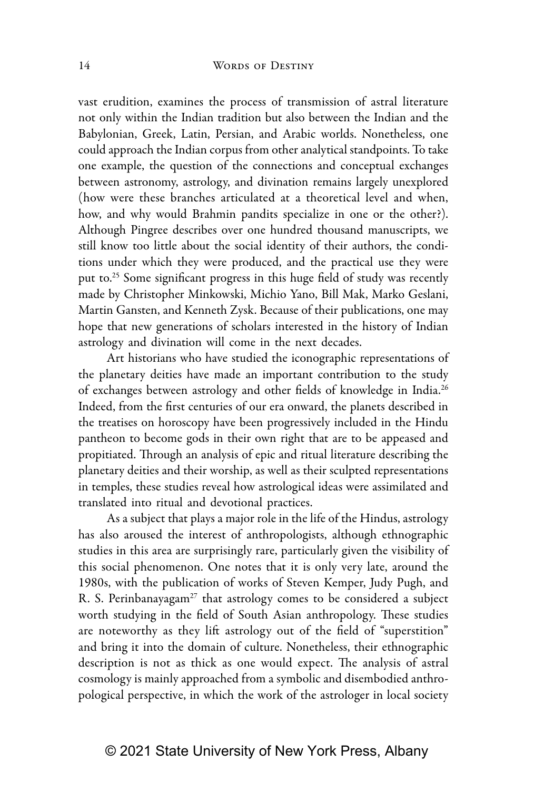vast erudition, examines the process of transmission of astral literature not only within the Indian tradition but also between the Indian and the Babylonian, Greek, Latin, Persian, and Arabic worlds. Nonetheless, one could approach the Indian corpus from other analytical standpoints. To take one example, the question of the connections and conceptual exchanges between astronomy, astrology, and divination remains largely unexplored (how were these branches articulated at a theoretical level and when, how, and why would Brahmin pandits specialize in one or the other?). Although Pingree describes over one hundred thousand manuscripts, we still know too little about the social identity of their authors, the conditions under which they were produced, and the practical use they were put to.<sup>25</sup> Some significant progress in this huge field of study was recently made by Christopher Minkowski, Michio Yano, Bill Mak, Marko Geslani, Martin Gansten, and Kenneth Zysk. Because of their publications, one may hope that new generations of scholars interested in the history of Indian astrology and divination will come in the next decades.

Art historians who have studied the iconographic representations of the planetary deities have made an important contribution to the study of exchanges between astrology and other fields of knowledge in India.26 Indeed, from the first centuries of our era onward, the planets described in the treatises on horoscopy have been progressively included in the Hindu pantheon to become gods in their own right that are to be appeased and propitiated. Through an analysis of epic and ritual literature describing the planetary deities and their worship, as well as their sculpted representations in temples, these studies reveal how astrological ideas were assimilated and translated into ritual and devotional practices.

As a subject that plays a major role in the life of the Hindus, astrology has also aroused the interest of anthropologists, although ethnographic studies in this area are surprisingly rare, particularly given the visibility of this social phenomenon. One notes that it is only very late, around the 1980s, with the publication of works of Steven Kemper, Judy Pugh, and R. S. Perinbanayagam<sup>27</sup> that astrology comes to be considered a subject worth studying in the field of South Asian anthropology. These studies are noteworthy as they lift astrology out of the field of "superstition" and bring it into the domain of culture. Nonetheless, their ethnographic description is not as thick as one would expect. The analysis of astral cosmology is mainly approached from a symbolic and disembodied anthropological perspective, in which the work of the astrologer in local society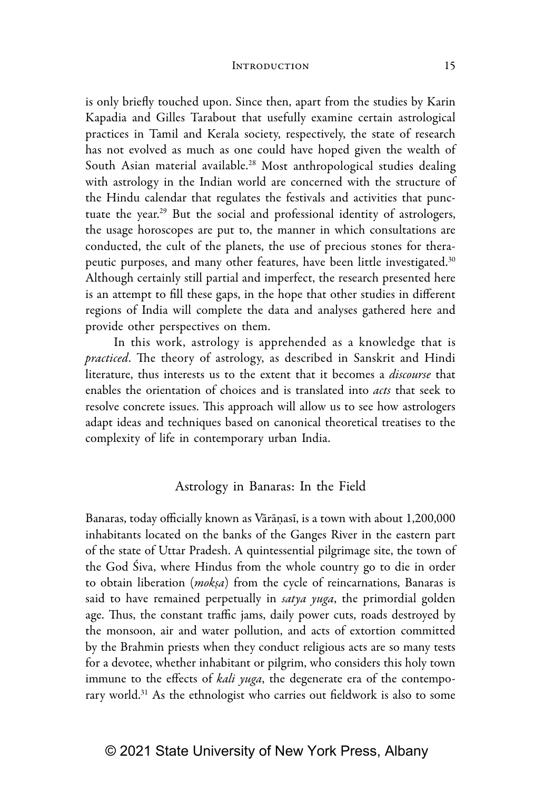is only briefly touched upon. Since then, apart from the studies by Karin Kapadia and Gilles Tarabout that usefully examine certain astrological practices in Tamil and Kerala society, respectively, the state of research has not evolved as much as one could have hoped given the wealth of South Asian material available.<sup>28</sup> Most anthropological studies dealing with astrology in the Indian world are concerned with the structure of the Hindu calendar that regulates the festivals and activities that punctuate the year.<sup>29</sup> But the social and professional identity of astrologers, the usage horoscopes are put to, the manner in which consultations are conducted, the cult of the planets, the use of precious stones for therapeutic purposes, and many other features, have been little investigated.<sup>30</sup> Although certainly still partial and imperfect, the research presented here is an attempt to fill these gaps, in the hope that other studies in different regions of India will complete the data and analyses gathered here and provide other perspectives on them.

In this work, astrology is apprehended as a knowledge that is *practiced*. The theory of astrology, as described in Sanskrit and Hindi literature, thus interests us to the extent that it becomes a *discourse* that enables the orientation of choices and is translated into *acts* that seek to resolve concrete issues. This approach will allow us to see how astrologers adapt ideas and techniques based on canonical theoretical treatises to the complexity of life in contemporary urban India.

## Astrology in Banaras: In the Field

Banaras, today officially known as Vārāṇasī, is a town with about 1,200,000 inhabitants located on the banks of the Ganges River in the eastern part of the state of Uttar Pradesh. A quintessential pilgrimage site, the town of the God Śiva, where Hindus from the whole country go to die in order to obtain liberation (*mokṣa*) from the cycle of reincarnations, Banaras is said to have remained perpetually in *satya yuga*, the primordial golden age. Thus, the constant traffic jams, daily power cuts, roads destroyed by the monsoon, air and water pollution, and acts of extortion committed by the Brahmin priests when they conduct religious acts are so many tests for a devotee, whether inhabitant or pilgrim, who considers this holy town immune to the effects of *kali yuga*, the degenerate era of the contemporary world.<sup>31</sup> As the ethnologist who carries out fieldwork is also to some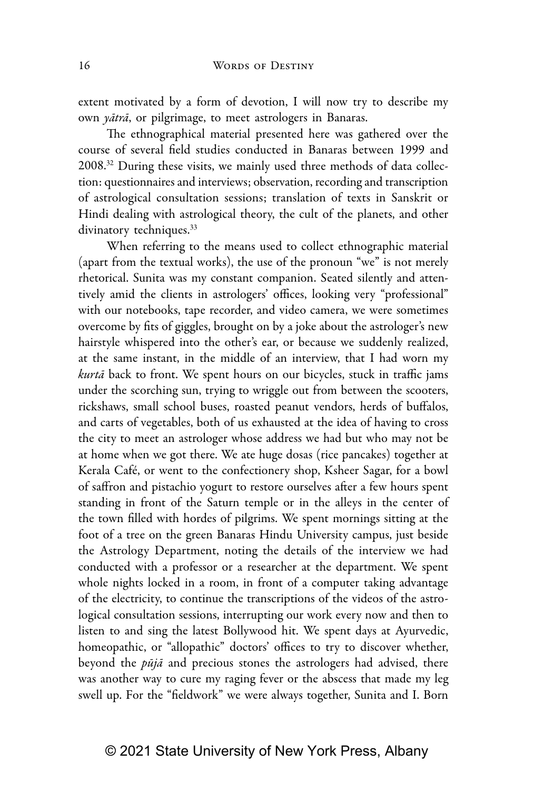extent motivated by a form of devotion, I will now try to describe my own *yātrā*, or pilgrimage, to meet astrologers in Banaras.

The ethnographical material presented here was gathered over the course of several field studies conducted in Banaras between 1999 and 2008.32 During these visits, we mainly used three methods of data collection: questionnaires and interviews; observation, recording and transcription of astrological consultation sessions; translation of texts in Sanskrit or Hindi dealing with astrological theory, the cult of the planets, and other divinatory techniques.<sup>33</sup>

When referring to the means used to collect ethnographic material (apart from the textual works), the use of the pronoun "we" is not merely rhetorical. Sunita was my constant companion. Seated silently and attentively amid the clients in astrologers' offices, looking very "professional" with our notebooks, tape recorder, and video camera, we were sometimes overcome by fits of giggles, brought on by a joke about the astrologer's new hairstyle whispered into the other's ear, or because we suddenly realized, at the same instant, in the middle of an interview, that I had worn my *kurtā* back to front. We spent hours on our bicycles, stuck in traffic jams under the scorching sun, trying to wriggle out from between the scooters, rickshaws, small school buses, roasted peanut vendors, herds of buffalos, and carts of vegetables, both of us exhausted at the idea of having to cross the city to meet an astrologer whose address we had but who may not be at home when we got there. We ate huge dosas (rice pancakes) together at Kerala Café, or went to the confectionery shop, Ksheer Sagar, for a bowl of saffron and pistachio yogurt to restore ourselves after a few hours spent standing in front of the Saturn temple or in the alleys in the center of the town filled with hordes of pilgrims. We spent mornings sitting at the foot of a tree on the green Banaras Hindu University campus, just beside the Astrology Department, noting the details of the interview we had conducted with a professor or a researcher at the department. We spent whole nights locked in a room, in front of a computer taking advantage of the electricity, to continue the transcriptions of the videos of the astrological consultation sessions, interrupting our work every now and then to listen to and sing the latest Bollywood hit. We spent days at Ayurvedic, homeopathic, or "allopathic" doctors' offices to try to discover whether, beyond the *pūjā* and precious stones the astrologers had advised, there was another way to cure my raging fever or the abscess that made my leg swell up. For the "fieldwork" we were always together, Sunita and I. Born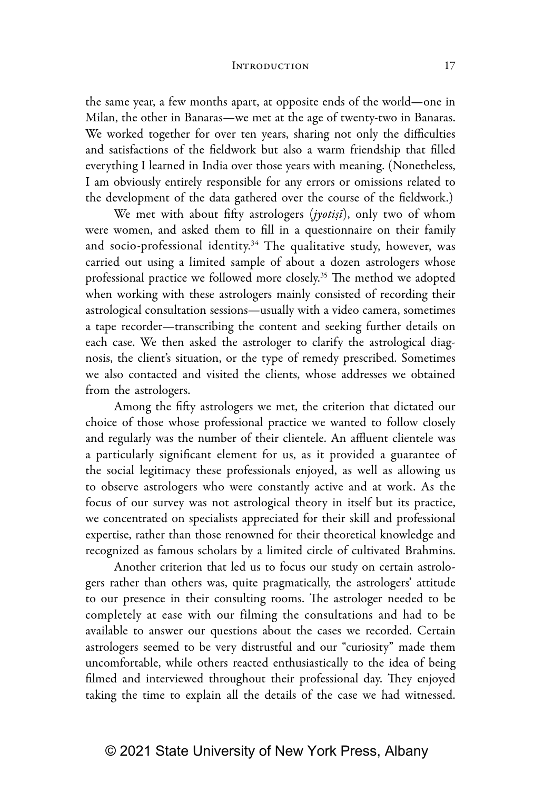the same year, a few months apart, at opposite ends of the world—one in Milan, the other in Banaras—we met at the age of twenty-two in Banaras. We worked together for over ten years, sharing not only the difficulties and satisfactions of the fieldwork but also a warm friendship that filled everything I learned in India over those years with meaning. (Nonetheless, I am obviously entirely responsible for any errors or omissions related to the development of the data gathered over the course of the fieldwork.)

We met with about fifty astrologers (*jyotiṣī*), only two of whom were women, and asked them to fill in a questionnaire on their family and socio-professional identity.<sup>34</sup> The qualitative study, however, was carried out using a limited sample of about a dozen astrologers whose professional practice we followed more closely.<sup>35</sup> The method we adopted when working with these astrologers mainly consisted of recording their astrological consultation sessions—usually with a video camera, sometimes a tape recorder—transcribing the content and seeking further details on each case. We then asked the astrologer to clarify the astrological diagnosis, the client's situation, or the type of remedy prescribed. Sometimes we also contacted and visited the clients, whose addresses we obtained from the astrologers.

Among the fifty astrologers we met, the criterion that dictated our choice of those whose professional practice we wanted to follow closely and regularly was the number of their clientele. An affluent clientele was a particularly significant element for us, as it provided a guarantee of the social legitimacy these professionals enjoyed, as well as allowing us to observe astrologers who were constantly active and at work. As the focus of our survey was not astrological theory in itself but its practice, we concentrated on specialists appreciated for their skill and professional expertise, rather than those renowned for their theoretical knowledge and recognized as famous scholars by a limited circle of cultivated Brahmins.

Another criterion that led us to focus our study on certain astrologers rather than others was, quite pragmatically, the astrologers' attitude to our presence in their consulting rooms. The astrologer needed to be completely at ease with our filming the consultations and had to be available to answer our questions about the cases we recorded. Certain astrologers seemed to be very distrustful and our "curiosity" made them uncomfortable, while others reacted enthusiastically to the idea of being filmed and interviewed throughout their professional day. They enjoyed taking the time to explain all the details of the case we had witnessed.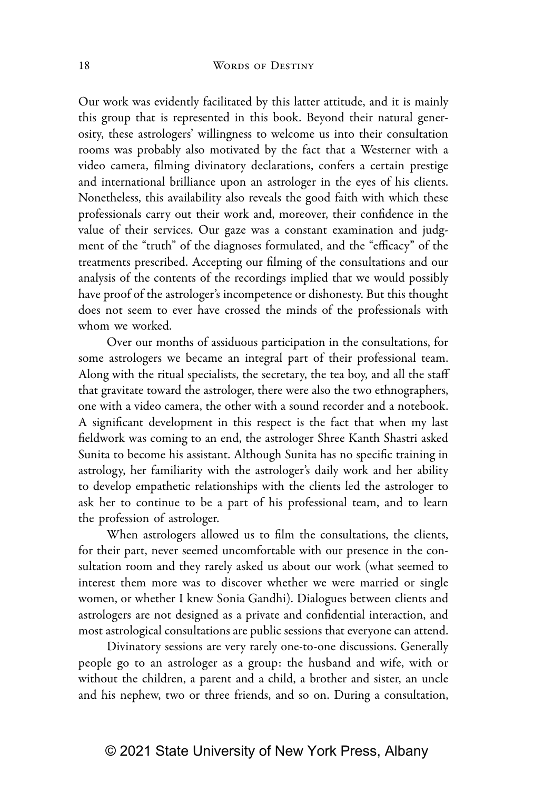Our work was evidently facilitated by this latter attitude, and it is mainly this group that is represented in this book. Beyond their natural generosity, these astrologers' willingness to welcome us into their consultation rooms was probably also motivated by the fact that a Westerner with a video camera, filming divinatory declarations, confers a certain prestige and international brilliance upon an astrologer in the eyes of his clients. Nonetheless, this availability also reveals the good faith with which these professionals carry out their work and, moreover, their confidence in the value of their services. Our gaze was a constant examination and judgment of the "truth" of the diagnoses formulated, and the "efficacy" of the treatments prescribed. Accepting our filming of the consultations and our analysis of the contents of the recordings implied that we would possibly have proof of the astrologer's incompetence or dishonesty. But this thought does not seem to ever have crossed the minds of the professionals with whom we worked.

Over our months of assiduous participation in the consultations, for some astrologers we became an integral part of their professional team. Along with the ritual specialists, the secretary, the tea boy, and all the staff that gravitate toward the astrologer, there were also the two ethnographers, one with a video camera, the other with a sound recorder and a notebook. A significant development in this respect is the fact that when my last fieldwork was coming to an end, the astrologer Shree Kanth Shastri asked Sunita to become his assistant. Although Sunita has no specific training in astrology, her familiarity with the astrologer's daily work and her ability to develop empathetic relationships with the clients led the astrologer to ask her to continue to be a part of his professional team, and to learn the profession of astrologer.

When astrologers allowed us to film the consultations, the clients, for their part, never seemed uncomfortable with our presence in the consultation room and they rarely asked us about our work (what seemed to interest them more was to discover whether we were married or single women, or whether I knew Sonia Gandhi). Dialogues between clients and astrologers are not designed as a private and confidential interaction, and most astrological consultations are public sessions that everyone can attend.

Divinatory sessions are very rarely one-to-one discussions. Generally people go to an astrologer as a group: the husband and wife, with or without the children, a parent and a child, a brother and sister, an uncle and his nephew, two or three friends, and so on. During a consultation,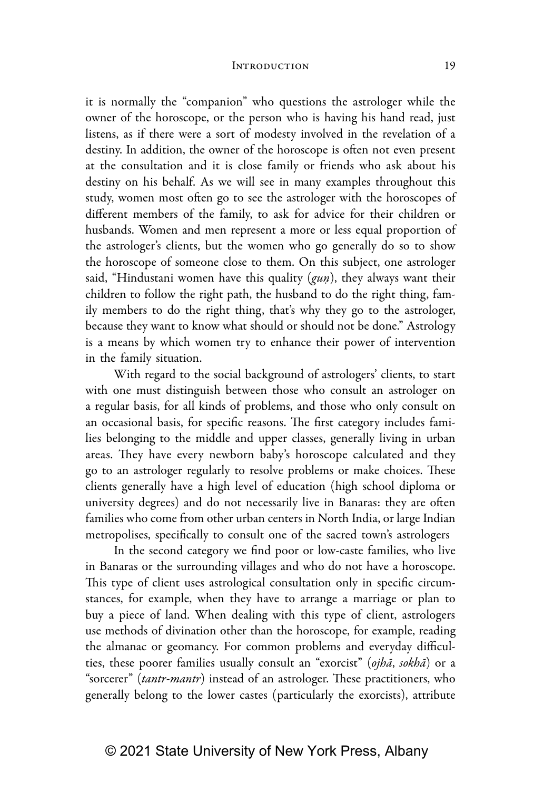it is normally the "companion" who questions the astrologer while the owner of the horoscope, or the person who is having his hand read, just listens, as if there were a sort of modesty involved in the revelation of a destiny. In addition, the owner of the horoscope is often not even present at the consultation and it is close family or friends who ask about his destiny on his behalf. As we will see in many examples throughout this study, women most often go to see the astrologer with the horoscopes of different members of the family, to ask for advice for their children or husbands. Women and men represent a more or less equal proportion of the astrologer's clients, but the women who go generally do so to show the horoscope of someone close to them. On this subject, one astrologer said, "Hindustani women have this quality (*guṇ*), they always want their children to follow the right path, the husband to do the right thing, family members to do the right thing, that's why they go to the astrologer, because they want to know what should or should not be done." Astrology is a means by which women try to enhance their power of intervention in the family situation.

With regard to the social background of astrologers' clients, to start with one must distinguish between those who consult an astrologer on a regular basis, for all kinds of problems, and those who only consult on an occasional basis, for specific reasons. The first category includes families belonging to the middle and upper classes, generally living in urban areas. They have every newborn baby's horoscope calculated and they go to an astrologer regularly to resolve problems or make choices. These clients generally have a high level of education (high school diploma or university degrees) and do not necessarily live in Banaras: they are often families who come from other urban centers in North India, or large Indian metropolises, specifically to consult one of the sacred town's astrologers

In the second category we find poor or low-caste families, who live in Banaras or the surrounding villages and who do not have a horoscope. This type of client uses astrological consultation only in specific circumstances, for example, when they have to arrange a marriage or plan to buy a piece of land. When dealing with this type of client, astrologers use methods of divination other than the horoscope, for example, reading the almanac or geomancy. For common problems and everyday difficulties, these poorer families usually consult an "exorcist" (*ojhā*, *sokhā*) or a "sorcerer" (*tantr-mantr*) instead of an astrologer. These practitioners, who generally belong to the lower castes (particularly the exorcists), attribute